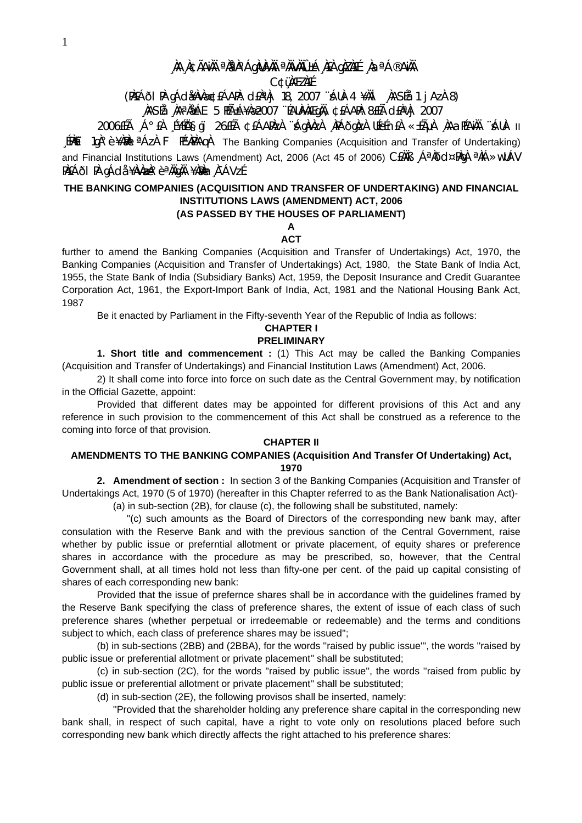# **¸ÀA¸À¢ÃAiÀÄ ªÀåªÀºÁgÀUÀ¼ÀÄ ªÀÄvÀÄÛ ±Á¸À£À gÀZÀ£É ¸ÀaªÁ®AiÀÄ**

**C¢ü¸ÀÆZÀ£É** 

(PÀ£ÁðlPÀ gÁdå¥ÀvÀæ ¢£ÁAPÀ: d£ÀªÀj 18, 2007 ¨sÁUÀ-4 ¥ÀÄl ¸ÀASÉå: 1 jAzÀ 8)

# **¸ÀASÉå: ¸ÀAªÀå±ÁE 5 PÉñÁ¥Àæ 2007 ¨ÉAUÀ¼ÀÆgÀÄ, ¢£ÁAPÀ: 8£Éà d£ÀªÀj 2007**

2006£Éà ¸Á°£À ¸É¥ÉÖA§gï 26£Éà ¢£ÁAPÀzÀ ¨sÁgÀvÀzÀ ¸ÀPÁðgÀzÀ UÉeÉn£À «±ÉõÀ ¸ÀAaPÉAiÀÄ ¨sÁUÀ- II  $\frac{1}{2}$ [PA $\hat{E}$ i 1g $\hat{A}$ °è ¥A $\hat{B}$ Al<sup>a</sup> Az $\hat{A}$  F PE $\hat{A}$ PÀAq $\hat{A}$  The Banking Companies (Acquisition and Transfer of Undertaking) and Financial Institutions Laws (Amendment) Act, 2006 (Act 45 of 2006) CEAAS , A<sup>a</sup>Add¤PAqA <sup>a</sup>AA>wUAV PÀ£ÁðI PÀ gÁdå ¥ÀvÀæÀ°è ªÀÄgÀÄ ¥ÀæÀn¸À¯ÁVzÉ.

# **THE BANKING COMPANIES (ACQUISITION AND TRANSFER OF UNDERTAKING) AND FINANCIAL INSTITUTIONS LAWS (AMENDMENT) ACT, 2006**

# **(AS PASSED BY THE HOUSES OF PARLIAMENT)**

#### **A ACT**

further to amend the Banking Companies (Acquisition and Transfer of Undertakings) Act, 1970, the Banking Companies (Acquisition and Transfer of Undertakings) Act, 1980, the State Bank of India Act, 1955, the State Bank of India (Subsidiary Banks) Act, 1959, the Deposit Insurance and Credit Guarantee Corporation Act, 1961, the Export-Import Bank of India, Act, 1981 and the National Housing Bank Act, 1987

Be it enacted by Parliament in the Fifty-seventh Year of the Republic of India as follows:

#### **CHAPTER I PRELIMINARY**

**1. Short title and commencement :** (1) This Act may be called the Banking Companies (Acquisition and Transfer of Undertakings) and Financial Institution Laws (Amendment) Act, 2006.

 2) It shall come into force into force on such date as the Central Government may, by notification in the Official Gazette, appoint:

 Provided that different dates may be appointed for different provisions of this Act and any reference in such provision to the commencement of this Act shall be construed as a reference to the coming into force of that provision.

## **CHAPTER II**

# **AMENDMENTS TO THE BANKING COMPANIES (Acquisition And Transfer Of Undertaking) Act, 1970**

**2. Amendment of section :** In section 3 of the Banking Companies (Acquisition and Transfer of Undertakings Act, 1970 (5 of 1970) (hereafter in this Chapter referred to as the Bank Nationalisation Act)- (a) in sub-section (2B), for clause (c), the following shall be substituted, namely:

 ''(c) such amounts as the Board of Directors of the corresponding new bank may, after consulation with the Reserve Bank and with the previous sanction of the Central Government, raise whether by public issue or preferntial allotment or private placement, of equity shares or preference shares in accordance with the procedure as may be prescribed, so, however, that the Central Government shall, at all times hold not less than fifty-one per cent. of the paid up capital consisting of shares of each corresponding new bank:

 Provided that the issue of prefernce shares shall be in accordance with the guidelines framed by the Reserve Bank specifying the class of preference shares, the extent of issue of each class of such preference shares (whether perpetual or irredeemable or redeemable) and the terms and conditions subject to which, each class of preference shares may be issued'';

 (b) in sub-sections (2BB) and (2BBA), for the words ''raised by public issue''', the words ''raised by public issue or preferential allotment or private placement'' shall be substituted;

 (c) in sub-section (2C), for the words ''raised by public issue'', the words ''raised from public by public issue or preferential allotment or private placement'' shall be substituted;

(d) in sub-section (2E), the following provisos shall be inserted, namely:

 ''Provided that the shareholder holding any preference share capital in the corresponding new bank shall, in respect of such capital, have a right to vote only on resolutions placed before such corresponding new bank which directly affects the right attached to his preference shares: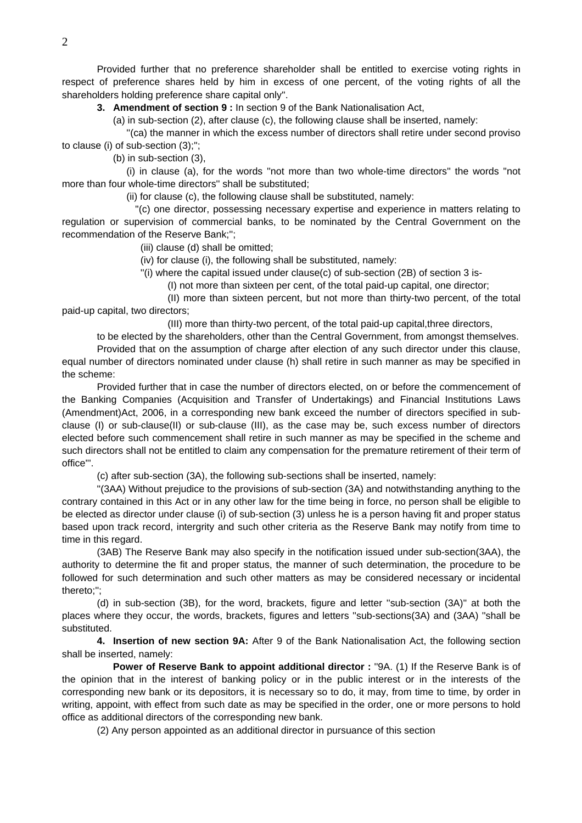Provided further that no preference shareholder shall be entitled to exercise voting rights in respect of preference shares held by him in excess of one percent, of the voting rights of all the shareholders holding preference share capital only''.

**3. Amendment of section 9 :** In section 9 of the Bank Nationalisation Act,

(a) in sub-section (2), after clause (c), the following clause shall be inserted, namely:

 ''(ca) the manner in which the excess number of directors shall retire under second proviso to clause (i) of sub-section (3);'';

(b) in sub-section (3),

 (i) in clause (a), for the words ''not more than two whole-time directors'' the words ''not more than four whole-time directors'' shall be substituted;

(ii) for clause (c), the following clause shall be substituted, namely:

 ''(c) one director, possessing necessary expertise and experience in matters relating to regulation or supervision of commercial banks, to be nominated by the Central Government on the recommendation of the Reserve Bank;'';

(iii) clause (d) shall be omitted;

(iv) for clause (i), the following shall be substituted, namely:

 $'$ (i) where the capital issued under clause(c) of sub-section (2B) of section 3 is-

(I) not more than sixteen per cent, of the total paid-up capital, one director;

 (II) more than sixteen percent, but not more than thirty-two percent, of the total paid-up capital, two directors;

(III) more than thirty-two percent, of the total paid-up capital,three directors,

to be elected by the shareholders, other than the Central Government, from amongst themselves.

 Provided that on the assumption of charge after election of any such director under this clause, equal number of directors nominated under clause (h) shall retire in such manner as may be specified in the scheme:

 Provided further that in case the number of directors elected, on or before the commencement of the Banking Companies (Acquisition and Transfer of Undertakings) and Financial Institutions Laws (Amendment)Act, 2006, in a corresponding new bank exceed the number of directors specified in subclause (I) or sub-clause(II) or sub-clause (III), as the case may be, such excess number of directors elected before such commencement shall retire in such manner as may be specified in the scheme and such directors shall not be entitled to claim any compensation for the premature retirement of their term of office'''.

(c) after sub-section (3A), the following sub-sections shall be inserted, namely:

 ''(3AA) Without prejudice to the provisions of sub-section (3A) and notwithstanding anything to the contrary contained in this Act or in any other law for the time being in force, no person shall be eligible to be elected as director under clause (i) of sub-section (3) unless he is a person having fit and proper status based upon track record, intergrity and such other criteria as the Reserve Bank may notify from time to time in this regard.

 (3AB) The Reserve Bank may also specify in the notification issued under sub-section(3AA), the authority to determine the fit and proper status, the manner of such determination, the procedure to be followed for such determination and such other matters as may be considered necessary or incidental thereto;'';

 (d) in sub-section (3B), for the word, brackets, figure and letter ''sub-section (3A)'' at both the places where they occur, the words, brackets, figures and letters ''sub-sections(3A) and (3AA) ''shall be substituted.

**4. Insertion of new section 9A:** After 9 of the Bank Nationalisation Act, the following section shall be inserted, namely:

**Power of Reserve Bank to appoint additional director :** "9A. (1) If the Reserve Bank is of the opinion that in the interest of banking policy or in the public interest or in the interests of the corresponding new bank or its depositors, it is necessary so to do, it may, from time to time, by order in writing, appoint, with effect from such date as may be specified in the order, one or more persons to hold office as additional directors of the corresponding new bank.

(2) Any person appointed as an additional director in pursuance of this section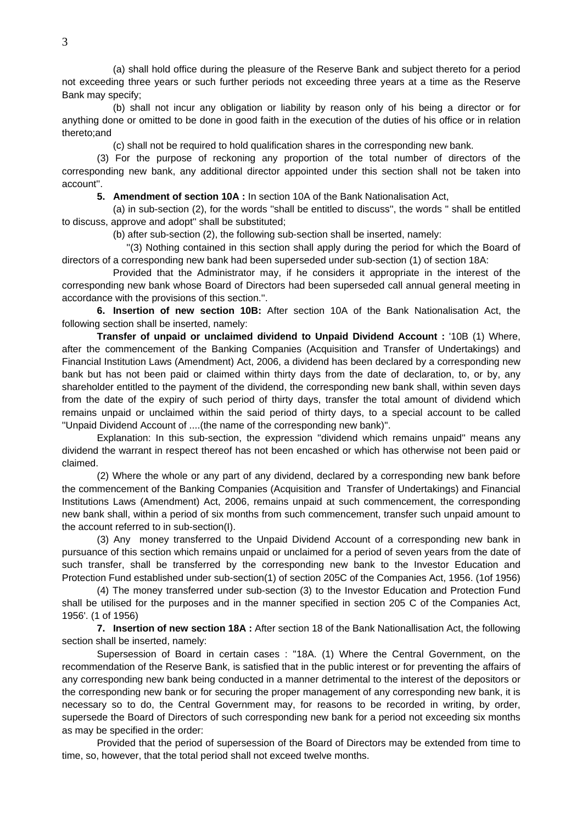(a) shall hold office during the pleasure of the Reserve Bank and subject thereto for a period not exceeding three years or such further periods not exceeding three years at a time as the Reserve Bank may specify;

 (b) shall not incur any obligation or liability by reason only of his being a director or for anything done or omitted to be done in good faith in the execution of the duties of his office or in relation thereto;and

(c) shall not be required to hold qualification shares in the corresponding new bank.

 (3) For the purpose of reckoning any proportion of the total number of directors of the corresponding new bank, any additional director appointed under this section shall not be taken into account''.

**5. Amendment of section 10A :** In section 10A of the Bank Nationalisation Act,

 (a) in sub-section (2), for the words ''shall be entitled to discuss'', the words '' shall be entitled to discuss, approve and adopt'' shall be substituted;

(b) after sub-section (2), the following sub-section shall be inserted, namely:

 ''(3) Nothing contained in this section shall apply during the period for which the Board of directors of a corresponding new bank had been superseded under sub-section (1) of section 18A:

 Provided that the Administrator may, if he considers it appropriate in the interest of the corresponding new bank whose Board of Directors had been superseded call annual general meeting in accordance with the provisions of this section.''.

**6. Insertion of new section 10B:** After section 10A of the Bank Nationalisation Act, the following section shall be inserted, namely:

**Transfer of unpaid or unclaimed dividend to Unpaid Dividend Account :** '10B (1) Where, after the commencement of the Banking Companies (Acquisition and Transfer of Undertakings) and Financial Institution Laws (Amendment) Act, 2006, a dividend has been declared by a corresponding new bank but has not been paid or claimed within thirty days from the date of declaration, to, or by, any shareholder entitled to the payment of the dividend, the corresponding new bank shall, within seven days from the date of the expiry of such period of thirty days, transfer the total amount of dividend which remains unpaid or unclaimed within the said period of thirty days, to a special account to be called ''Unpaid Dividend Account of ....(the name of the corresponding new bank)''.

 Explanation: In this sub-section, the expression ''dividend which remains unpaid'' means any dividend the warrant in respect thereof has not been encashed or which has otherwise not been paid or claimed.

 (2) Where the whole or any part of any dividend, declared by a corresponding new bank before the commencement of the Banking Companies (Acquisition and Transfer of Undertakings) and Financial Institutions Laws (Amendment) Act, 2006, remains unpaid at such commencement, the corresponding new bank shall, within a period of six months from such commencement, transfer such unpaid amount to the account referred to in sub-section(I).

 (3) Any money transferred to the Unpaid Dividend Account of a corresponding new bank in pursuance of this section which remains unpaid or unclaimed for a period of seven years from the date of such transfer, shall be transferred by the corresponding new bank to the Investor Education and Protection Fund established under sub-section(1) of section 205C of the Companies Act, 1956. (1of 1956)

 (4) The money transferred under sub-section (3) to the Investor Education and Protection Fund shall be utilised for the purposes and in the manner specified in section 205 C of the Companies Act, 1956'. (1 of 1956)

**7. Insertion of new section 18A :** After section 18 of the Bank Nationallisation Act, the following section shall be inserted, namely:

 Supersession of Board in certain cases : ''18A. (1) Where the Central Government, on the recommendation of the Reserve Bank, is satisfied that in the public interest or for preventing the affairs of any corresponding new bank being conducted in a manner detrimental to the interest of the depositors or the corresponding new bank or for securing the proper management of any corresponding new bank, it is necessary so to do, the Central Government may, for reasons to be recorded in writing, by order, supersede the Board of Directors of such corresponding new bank for a period not exceeding six months as may be specified in the order:

 Provided that the period of supersession of the Board of Directors may be extended from time to time, so, however, that the total period shall not exceed twelve months.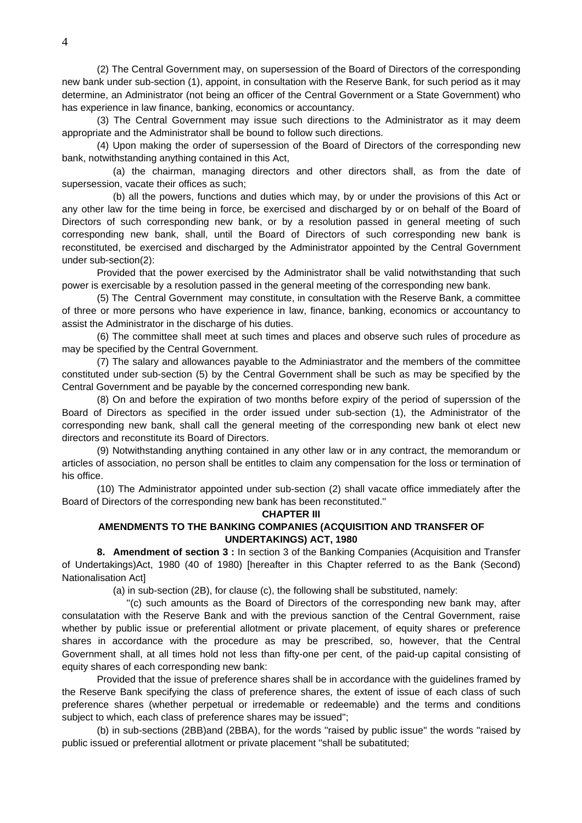(2) The Central Government may, on supersession of the Board of Directors of the corresponding new bank under sub-section (1), appoint, in consultation with the Reserve Bank, for such period as it may determine, an Administrator (not being an officer of the Central Government or a State Government) who has experience in law finance, banking, economics or accountancy.

 (3) The Central Government may issue such directions to the Administrator as it may deem appropriate and the Administrator shall be bound to follow such directions.

 (4) Upon making the order of supersession of the Board of Directors of the corresponding new bank, notwithstanding anything contained in this Act,

 (a) the chairman, managing directors and other directors shall, as from the date of supersession, vacate their offices as such;

 (b) all the powers, functions and duties which may, by or under the provisions of this Act or any other law for the time being in force, be exercised and discharged by or on behalf of the Board of Directors of such corresponding new bank, or by a resolution passed in general meeting of such corresponding new bank, shall, until the Board of Directors of such corresponding new bank is reconstituted, be exercised and discharged by the Administrator appointed by the Central Government under sub-section(2):

 Provided that the power exercised by the Administrator shall be valid notwithstanding that such power is exercisable by a resolution passed in the general meeting of the corresponding new bank.

 (5) The Central Government may constitute, in consultation with the Reserve Bank, a committee of three or more persons who have experience in law, finance, banking, economics or accountancy to assist the Administrator in the discharge of his duties.

 (6) The committee shall meet at such times and places and observe such rules of procedure as may be specified by the Central Government.

 (7) The salary and allowances payable to the Adminiastrator and the members of the committee constituted under sub-section (5) by the Central Government shall be such as may be specified by the Central Government and be payable by the concerned corresponding new bank.

 (8) On and before the expiration of two months before expiry of the period of superssion of the Board of Directors as specified in the order issued under sub-section (1), the Administrator of the corresponding new bank, shall call the general meeting of the corresponding new bank ot elect new directors and reconstitute its Board of Directors.

 (9) Notwithstanding anything contained in any other law or in any contract, the memorandum or articles of association, no person shall be entitles to claim any compensation for the loss or termination of his office.

 (10) The Administrator appointed under sub-section (2) shall vacate office immediately after the Board of Directors of the corresponding new bank has been reconstituted.''

### **CHAPTER III**

## **AMENDMENTS TO THE BANKING COMPANIES (ACQUISITION AND TRANSFER OF UNDERTAKINGS) ACT, 1980**

**8. Amendment of section 3 :** In section 3 of the Banking Companies (Acquisition and Transfer of Undertakings)Act, 1980 (40 of 1980) [hereafter in this Chapter referred to as the Bank (Second) Nationalisation Act]

(a) in sub-section (2B), for clause (c), the following shall be substituted, namely:

 ''(c) such amounts as the Board of Directors of the corresponding new bank may, after consulatation with the Reserve Bank and with the previous sanction of the Central Government, raise whether by public issue or preferential allotment or private placement, of equity shares or preference shares in accordance with the procedure as may be prescribed, so, however, that the Central Government shall, at all times hold not less than fifty-one per cent, of the paid-up capital consisting of equity shares of each corresponding new bank:

 Provided that the issue of preference shares shall be in accordance with the guidelines framed by the Reserve Bank specifying the class of preference shares, the extent of issue of each class of such preference shares (whether perpetual or irredemable or redeemable) and the terms and conditions subject to which, each class of preference shares may be issued'';

 (b) in sub-sections (2BB)and (2BBA), for the words ''raised by public issue'' the words ''raised by public issued or preferential allotment or private placement ''shall be subatituted;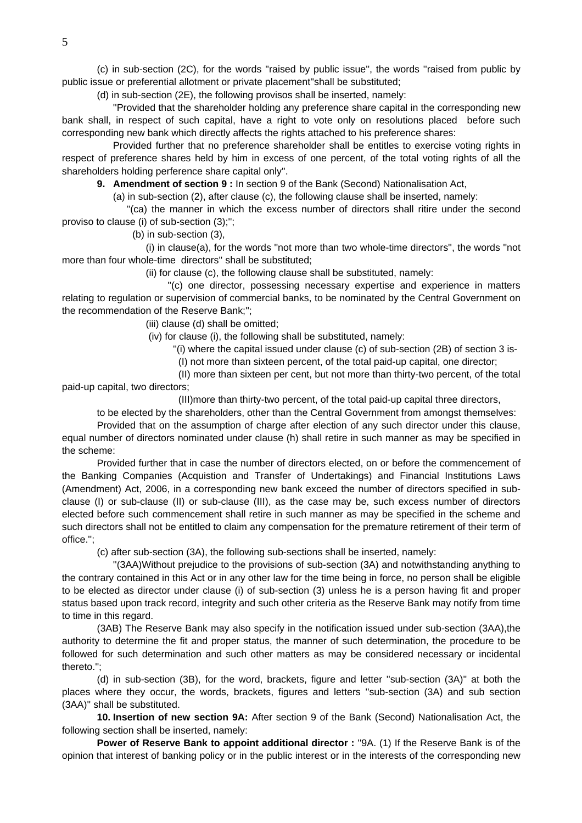(c) in sub-section (2C), for the words ''raised by public issue'', the words ''raised from public by public issue or preferential allotment or private placement''shall be substituted;

(d) in sub-section (2E), the following provisos shall be inserted, namely:

 ''Provided that the shareholder holding any preference share capital in the corresponding new bank shall, in respect of such capital, have a right to vote only on resolutions placed before such corresponding new bank which directly affects the rights attached to his preference shares:

 Provided further that no preference shareholder shall be entitles to exercise voting rights in respect of preference shares held by him in excess of one percent, of the total voting rights of all the shareholders holding perference share capital only''.

**9. Amendment of section 9 :** In section 9 of the Bank (Second) Nationalisation Act,

(a) in sub-section (2), after clause (c), the following clause shall be inserted, namely:

 ''(ca) the manner in which the excess number of directors shall ritire under the second proviso to clause (i) of sub-section (3);'';

(b) in sub-section (3),

 (i) in clause(a), for the words ''not more than two whole-time directors'', the words ''not more than four whole-time directors'' shall be substituted;

(ii) for clause (c), the following clause shall be substituted, namely:

 ''(c) one director, possessing necessary expertise and experience in matters relating to regulation or supervision of commercial banks, to be nominated by the Central Government on the recommendation of the Reserve Bank;'';

(iii) clause (d) shall be omitted;

(iv) for clause (i), the following shall be substituted, namely:

''(i) where the capital issued under clause (c) of sub-section (2B) of section 3 is-

(I) not more than sixteen percent, of the total paid-up capital, one director;

 (II) more than sixteen per cent, but not more than thirty-two percent, of the total paid-up capital, two directors;

(III)more than thirty-two percent, of the total paid-up capital three directors,

to be elected by the shareholders, other than the Central Government from amongst themselves:

 Provided that on the assumption of charge after election of any such director under this clause, equal number of directors nominated under clause (h) shall retire in such manner as may be specified in the scheme:

 Provided further that in case the number of directors elected, on or before the commencement of the Banking Companies (Acquistion and Transfer of Undertakings) and Financial Institutions Laws (Amendment) Act, 2006, in a corresponding new bank exceed the number of directors specified in subclause (I) or sub-clause (II) or sub-clause (III), as the case may be, such excess number of directors elected before such commencement shall retire in such manner as may be specified in the scheme and such directors shall not be entitled to claim any compensation for the premature retirement of their term of office.'';

(c) after sub-section (3A), the following sub-sections shall be inserted, namely:

 ''(3AA)Without prejudice to the provisions of sub-section (3A) and notwithstanding anything to the contrary contained in this Act or in any other law for the time being in force, no person shall be eligible to be elected as director under clause (i) of sub-section (3) unless he is a person having fit and proper status based upon track record, integrity and such other criteria as the Reserve Bank may notify from time to time in this regard.

 (3AB) The Reserve Bank may also specify in the notification issued under sub-section (3AA),the authority to determine the fit and proper status, the manner of such determination, the procedure to be followed for such determination and such other matters as may be considered necessary or incidental thereto.'';

 (d) in sub-section (3B), for the word, brackets, figure and letter ''sub-section (3A)'' at both the places where they occur, the words, brackets, figures and letters ''sub-section (3A) and sub section (3AA)'' shall be substituted.

**10. Insertion of new section 9A:** After section 9 of the Bank (Second) Nationalisation Act, the following section shall be inserted, namely:

**Power of Reserve Bank to appoint additional director :** ''9A. (1) If the Reserve Bank is of the opinion that interest of banking policy or in the public interest or in the interests of the corresponding new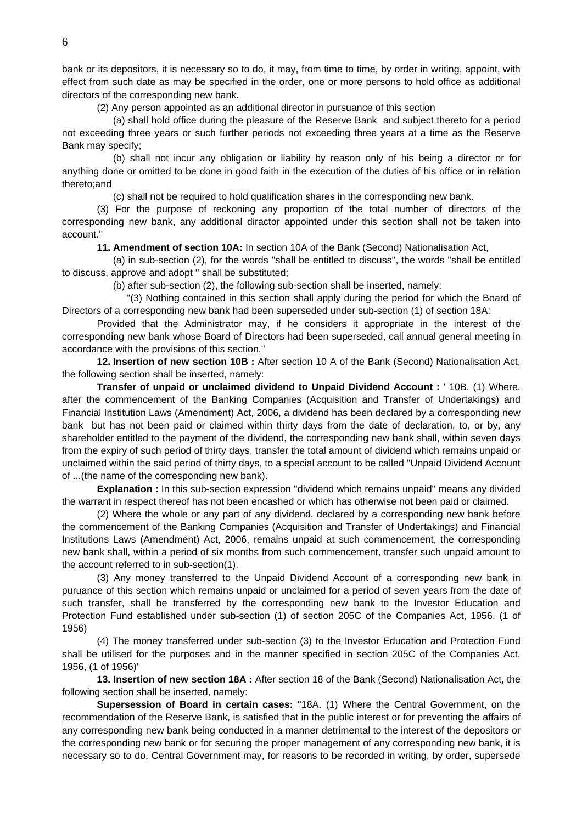bank or its depositors, it is necessary so to do, it may, from time to time, by order in writing, appoint, with effect from such date as may be specified in the order, one or more persons to hold office as additional directors of the corresponding new bank.

(2) Any person appointed as an additional director in pursuance of this section

 (a) shall hold office during the pleasure of the Reserve Bank and subject thereto for a period not exceeding three years or such further periods not exceeding three years at a time as the Reserve Bank may specify;

 (b) shall not incur any obligation or liability by reason only of his being a director or for anything done or omitted to be done in good faith in the execution of the duties of his office or in relation thereto;and

(c) shall not be required to hold qualification shares in the corresponding new bank.

 (3) For the purpose of reckoning any proportion of the total number of directors of the corresponding new bank, any additional diractor appointed under this section shall not be taken into account.''

**11. Amendment of section 10A:** In section 10A of the Bank (Second) Nationalisation Act,

 (a) in sub-section (2), for the words ''shall be entitled to discuss'', the words ''shall be entitled to discuss, approve and adopt '' shall be substituted;

(b) after sub-section (2), the following sub-section shall be inserted, namely:

 ''(3) Nothing contained in this section shall apply during the period for which the Board of Directors of a corresponding new bank had been superseded under sub-section (1) of section 18A:

 Provided that the Administrator may, if he considers it appropriate in the interest of the corresponding new bank whose Board of Directors had been superseded, call annual general meeting in accordance with the provisions of this section.''

**12. Insertion of new section 10B :** After section 10 A of the Bank (Second) Nationalisation Act, the following section shall be inserted, namely:

**Transfer of unpaid or unclaimed dividend to Unpaid Dividend Account :** ' 10B. (1) Where, after the commencement of the Banking Companies (Acquisition and Transfer of Undertakings) and Financial Institution Laws (Amendment) Act, 2006, a dividend has been declared by a corresponding new bank but has not been paid or claimed within thirty days from the date of declaration, to, or by, any shareholder entitled to the payment of the dividend, the corresponding new bank shall, within seven days from the expiry of such period of thirty days, transfer the total amount of dividend which remains unpaid or unclaimed within the said period of thirty days, to a special account to be called ''Unpaid Dividend Account of ...(the name of the corresponding new bank).

**Explanation :** In this sub-section expression ''dividend which remains unpaid'' means any divided the warrant in respect thereof has not been encashed or which has otherwise not been paid or claimed.

 (2) Where the whole or any part of any dividend, declared by a corresponding new bank before the commencement of the Banking Companies (Acquisition and Transfer of Undertakings) and Financial Institutions Laws (Amendment) Act, 2006, remains unpaid at such commencement, the corresponding new bank shall, within a period of six months from such commencement, transfer such unpaid amount to the account referred to in sub-section(1).

 (3) Any money transferred to the Unpaid Dividend Account of a corresponding new bank in puruance of this section which remains unpaid or unclaimed for a period of seven years from the date of such transfer, shall be transferred by the corresponding new bank to the Investor Education and Protection Fund established under sub-section (1) of section 205C of the Companies Act, 1956. (1 of 1956)

 (4) The money transferred under sub-section (3) to the Investor Education and Protection Fund shall be utilised for the purposes and in the manner specified in section 205C of the Companies Act, 1956, (1 of 1956)'

**13. Insertion of new section 18A :** After section 18 of the Bank (Second) Nationalisation Act, the following section shall be inserted, namely:

**Supersession of Board in certain cases:** ''18A. (1) Where the Central Government, on the recommendation of the Reserve Bank, is satisfied that in the public interest or for preventing the affairs of any corresponding new bank being conducted in a manner detrimental to the interest of the depositors or the corresponding new bank or for securing the proper management of any corresponding new bank, it is necessary so to do, Central Government may, for reasons to be recorded in writing, by order, supersede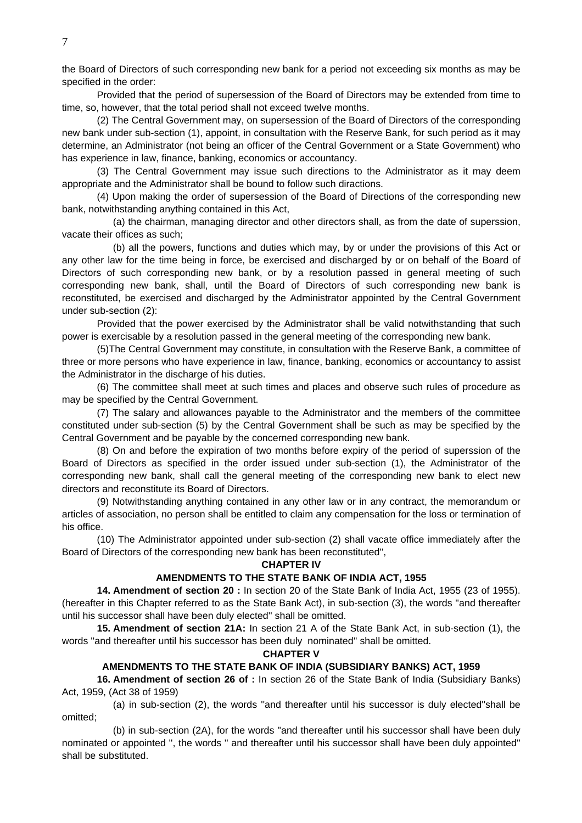the Board of Directors of such corresponding new bank for a period not exceeding six months as may be specified in the order:

 Provided that the period of supersession of the Board of Directors may be extended from time to time, so, however, that the total period shall not exceed twelve months.

 (2) The Central Government may, on supersession of the Board of Directors of the corresponding new bank under sub-section (1), appoint, in consultation with the Reserve Bank, for such period as it may determine, an Administrator (not being an officer of the Central Government or a State Government) who has experience in law, finance, banking, economics or accountancy.

 (3) The Central Government may issue such directions to the Administrator as it may deem appropriate and the Administrator shall be bound to follow such diractions.

 (4) Upon making the order of supersession of the Board of Directions of the corresponding new bank, notwithstanding anything contained in this Act,

 (a) the chairman, managing director and other directors shall, as from the date of superssion, vacate their offices as such;

 (b) all the powers, functions and duties which may, by or under the provisions of this Act or any other law for the time being in force, be exercised and discharged by or on behalf of the Board of Directors of such corresponding new bank, or by a resolution passed in general meeting of such corresponding new bank, shall, until the Board of Directors of such corresponding new bank is reconstituted, be exercised and discharged by the Administrator appointed by the Central Government under sub-section (2):

 Provided that the power exercised by the Administrator shall be valid notwithstanding that such power is exercisable by a resolution passed in the general meeting of the corresponding new bank.

 (5)The Central Government may constitute, in consultation with the Reserve Bank, a committee of three or more persons who have experience in law, finance, banking, economics or accountancy to assist the Administrator in the discharge of his duties.

 (6) The committee shall meet at such times and places and observe such rules of procedure as may be specified by the Central Government.

 (7) The salary and allowances payable to the Administrator and the members of the committee constituted under sub-section (5) by the Central Government shall be such as may be specified by the Central Government and be payable by the concerned corresponding new bank.

 (8) On and before the expiration of two months before expiry of the period of superssion of the Board of Directors as specified in the order issued under sub-section (1), the Administrator of the corresponding new bank, shall call the general meeting of the corresponding new bank to elect new directors and reconstitute its Board of Directors.

 (9) Notwithstanding anything contained in any other law or in any contract, the memorandum or articles of association, no person shall be entitled to claim any compensation for the loss or termination of his office.

 (10) The Administrator appointed under sub-section (2) shall vacate office immediately after the Board of Directors of the corresponding new bank has been reconstituted'',

#### **CHAPTER IV**

#### **AMENDMENTS TO THE STATE BANK OF INDIA ACT, 1955**

 **14. Amendment of section 20 :** In section 20 of the State Bank of India Act, 1955 (23 of 1955). (hereafter in this Chapter referred to as the State Bank Act), in sub-section (3), the words ''and thereafter until his successor shall have been duly elected'' shall be omitted.

**15. Amendment of section 21A:** In section 21 A of the State Bank Act, in sub-section (1), the words ''and thereafter until his successor has been duly nominated'' shall be omitted.

**CHAPTER V** 

# **AMENDMENTS TO THE STATE BANK OF INDIA (SUBSIDIARY BANKS) ACT, 1959**

 **16. Amendment of section 26 of :** In section 26 of the State Bank of India (Subsidiary Banks) Act, 1959, (Act 38 of 1959)

 (a) in sub-section (2), the words ''and thereafter until his successor is duly elected''shall be omitted;

 (b) in sub-section (2A), for the words ''and thereafter until his successor shall have been duly nominated or appointed '', the words '' and thereafter until his successor shall have been duly appointed'' shall be substituted.